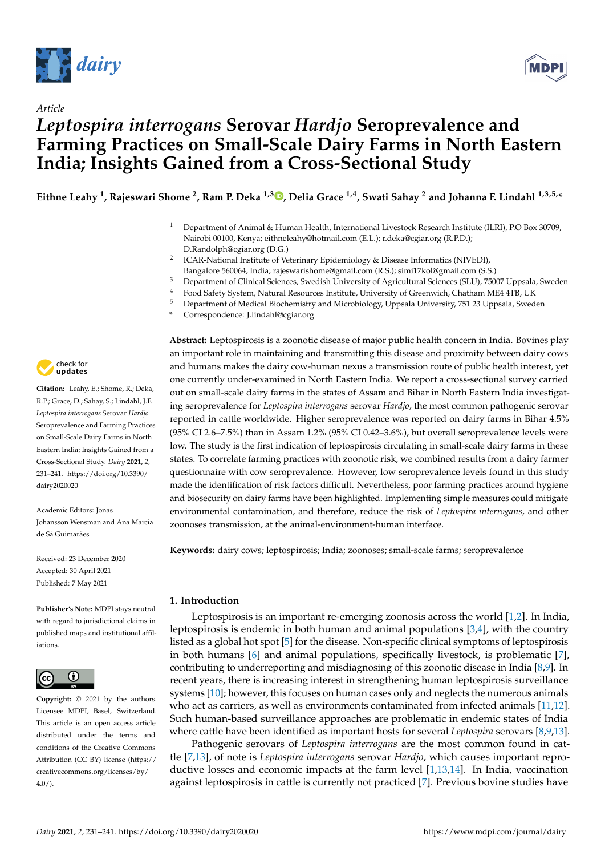

*Article*



# *Leptospira interrogans* **Serovar** *Hardjo* **Seroprevalence and Farming Practices on Small-Scale Dairy Farms in North Eastern India; Insights Gained from a Cross-Sectional Study**

**Eithne Leahy <sup>1</sup> , Rajeswari Shome <sup>2</sup> , Ram P. Deka 1,3 [,](https://orcid.org/0000-0002-8120-224X) Delia Grace 1,4, Swati Sahay <sup>2</sup> and Johanna F. Lindahl 1,3,5,\***

- <sup>1</sup> Department of Animal & Human Health, International Livestock Research Institute (ILRI), P.O Box 30709, Nairobi 00100, Kenya; eithneleahy@hotmail.com (E.L.); r.deka@cgiar.org (R.P.D.); D.Randolph@cgiar.org (D.G.)
- 2 ICAR-National Institute of Veterinary Epidemiology & Disease Informatics (NIVEDI), Bangalore 560064, India; rajeswarishome@gmail.com (R.S.); simi17kol@gmail.com (S.S.)
- <sup>3</sup> Department of Clinical Sciences, Swedish University of Agricultural Sciences (SLU), 75007 Uppsala, Sweden
- <sup>4</sup> Food Safety System, Natural Resources Institute, University of Greenwich, Chatham ME4 4TB, UK<br><sup>5</sup> Department of Modical Biochemictur and Migrabiology Ungsels University 751.22 Ungsels Syrod
- <sup>5</sup> Department of Medical Biochemistry and Microbiology, Uppsala University, 751 23 Uppsala, Sweden
- **\*** Correspondence: J.lindahl@cgiar.org



**Citation:** Leahy, E.; Shome, R.; Deka, R.P.; Grace, D.; Sahay, S.; Lindahl, J.F. *Leptospira interrogans* Serovar *Hardjo* Seroprevalence and Farming Practices on Small-Scale Dairy Farms in North Eastern India; Insights Gained from a Cross-Sectional Study. *Dairy* **2021**, *2*, 231–241. [https://doi.org/10.3390/](https://doi.org/10.3390/dairy2020020) [dairy2020020](https://doi.org/10.3390/dairy2020020)

Academic Editors: Jonas Johansson Wensman and Ana Marcia de Sá Guimarães

Received: 23 December 2020 Accepted: 30 April 2021 Published: 7 May 2021

**Publisher's Note:** MDPI stays neutral with regard to jurisdictional claims in published maps and institutional affiliations.



**Copyright:** © 2021 by the authors. Licensee MDPI, Basel, Switzerland. This article is an open access article distributed under the terms and conditions of the Creative Commons Attribution (CC BY) license (https:/[/](https://creativecommons.org/licenses/by/4.0/) [creativecommons.org/licenses/by/](https://creativecommons.org/licenses/by/4.0/)  $4.0/$ ).

**Abstract:** Leptospirosis is a zoonotic disease of major public health concern in India. Bovines play an important role in maintaining and transmitting this disease and proximity between dairy cows and humans makes the dairy cow-human nexus a transmission route of public health interest, yet one currently under-examined in North Eastern India. We report a cross-sectional survey carried out on small-scale dairy farms in the states of Assam and Bihar in North Eastern India investigating seroprevalence for *Leptospira interrogans* serovar *Hardjo*, the most common pathogenic serovar reported in cattle worldwide. Higher seroprevalence was reported on dairy farms in Bihar 4.5% (95% CI 2.6–7.5%) than in Assam 1.2% (95% CI 0.42–3.6%), but overall seroprevalence levels were low. The study is the first indication of leptospirosis circulating in small-scale dairy farms in these states. To correlate farming practices with zoonotic risk, we combined results from a dairy farmer questionnaire with cow seroprevalence. However, low seroprevalence levels found in this study made the identification of risk factors difficult. Nevertheless, poor farming practices around hygiene and biosecurity on dairy farms have been highlighted. Implementing simple measures could mitigate environmental contamination, and therefore, reduce the risk of *Leptospira interrogans*, and other zoonoses transmission, at the animal-environment-human interface.

**Keywords:** dairy cows; leptospirosis; India; zoonoses; small-scale farms; seroprevalence

# **1. Introduction**

Leptospirosis is an important re-emerging zoonosis across the world [\[1,](#page-8-0)[2\]](#page-8-1). In India, leptospirosis is endemic in both human and animal populations [\[3,](#page-8-2)[4\]](#page-8-3), with the country listed as a global hot spot [\[5\]](#page-8-4) for the disease. Non-specific clinical symptoms of leptospirosis in both humans [\[6\]](#page-8-5) and animal populations, specifically livestock, is problematic [\[7\]](#page-8-6), contributing to underreporting and misdiagnosing of this zoonotic disease in India [\[8,](#page-8-7)[9\]](#page-8-8). In recent years, there is increasing interest in strengthening human leptospirosis surveillance systems [\[10\]](#page-8-9); however, this focuses on human cases only and neglects the numerous animals who act as carriers, as well as environments contaminated from infected animals [\[11,](#page-8-10)[12\]](#page-8-11). Such human-based surveillance approaches are problematic in endemic states of India where cattle have been identified as important hosts for several *Leptospira* serovars [\[8](#page-8-7)[,9,](#page-8-8)[13\]](#page-8-12).

Pathogenic serovars of *Leptospira interrogans* are the most common found in cattle [\[7,](#page-8-6)[13\]](#page-8-12), of note is *Leptospira interrogans* serovar *Hardjo*, which causes important reproductive losses and economic impacts at the farm level [\[1](#page-8-0)[,13](#page-8-12)[,14\]](#page-8-13). In India, vaccination against leptospirosis in cattle is currently not practiced [\[7\]](#page-8-6). Previous bovine studies have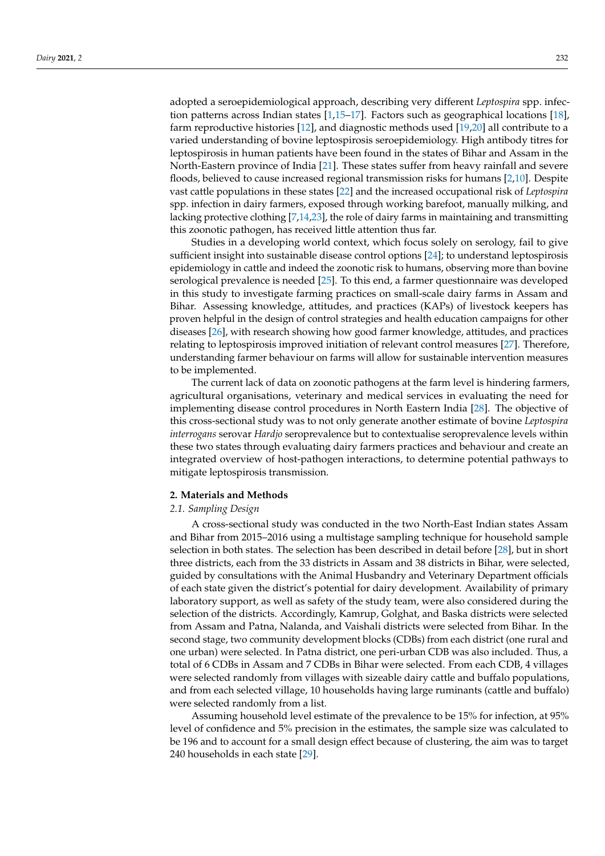adopted a seroepidemiological approach, describing very different *Leptospira* spp. infection patterns across Indian states [\[1](#page-8-0)[,15–](#page-8-14)[17\]](#page-8-15). Factors such as geographical locations [\[18\]](#page-9-0), farm reproductive histories [\[12\]](#page-8-11), and diagnostic methods used [\[19,](#page-9-1)[20\]](#page-9-2) all contribute to a varied understanding of bovine leptospirosis seroepidemiology. High antibody titres for leptospirosis in human patients have been found in the states of Bihar and Assam in the North-Eastern province of India [\[21\]](#page-9-3). These states suffer from heavy rainfall and severe floods, believed to cause increased regional transmission risks for humans [\[2](#page-8-1)[,10\]](#page-8-9). Despite vast cattle populations in these states [\[22\]](#page-9-4) and the increased occupational risk of *Leptospira* spp. infection in dairy farmers, exposed through working barefoot, manually milking, and lacking protective clothing [\[7](#page-8-6)[,14](#page-8-13)[,23\]](#page-9-5), the role of dairy farms in maintaining and transmitting this zoonotic pathogen, has received little attention thus far.

Studies in a developing world context, which focus solely on serology, fail to give sufficient insight into sustainable disease control options [\[24\]](#page-9-6); to understand leptospirosis epidemiology in cattle and indeed the zoonotic risk to humans, observing more than bovine serological prevalence is needed [\[25\]](#page-9-7). To this end, a farmer questionnaire was developed in this study to investigate farming practices on small-scale dairy farms in Assam and Bihar. Assessing knowledge, attitudes, and practices (KAPs) of livestock keepers has proven helpful in the design of control strategies and health education campaigns for other diseases [\[26\]](#page-9-8), with research showing how good farmer knowledge, attitudes, and practices relating to leptospirosis improved initiation of relevant control measures [\[27\]](#page-9-9). Therefore, understanding farmer behaviour on farms will allow for sustainable intervention measures to be implemented.

The current lack of data on zoonotic pathogens at the farm level is hindering farmers, agricultural organisations, veterinary and medical services in evaluating the need for implementing disease control procedures in North Eastern India [\[28\]](#page-9-10). The objective of this cross-sectional study was to not only generate another estimate of bovine *Leptospira interrogans* serovar *Hardjo* seroprevalence but to contextualise seroprevalence levels within these two states through evaluating dairy farmers practices and behaviour and create an integrated overview of host-pathogen interactions, to determine potential pathways to mitigate leptospirosis transmission.

#### **2. Materials and Methods**

## *2.1. Sampling Design*

A cross-sectional study was conducted in the two North-East Indian states Assam and Bihar from 2015–2016 using a multistage sampling technique for household sample selection in both states. The selection has been described in detail before [\[28\]](#page-9-10), but in short three districts, each from the 33 districts in Assam and 38 districts in Bihar, were selected, guided by consultations with the Animal Husbandry and Veterinary Department officials of each state given the district's potential for dairy development. Availability of primary laboratory support, as well as safety of the study team, were also considered during the selection of the districts. Accordingly, Kamrup, Golghat, and Baska districts were selected from Assam and Patna, Nalanda, and Vaishali districts were selected from Bihar. In the second stage, two community development blocks (CDBs) from each district (one rural and one urban) were selected. In Patna district, one peri-urban CDB was also included. Thus, a total of 6 CDBs in Assam and 7 CDBs in Bihar were selected. From each CDB, 4 villages were selected randomly from villages with sizeable dairy cattle and buffalo populations, and from each selected village, 10 households having large ruminants (cattle and buffalo) were selected randomly from a list.

Assuming household level estimate of the prevalence to be 15% for infection, at 95% level of confidence and 5% precision in the estimates, the sample size was calculated to be 196 and to account for a small design effect because of clustering, the aim was to target 240 households in each state [\[29\]](#page-9-11).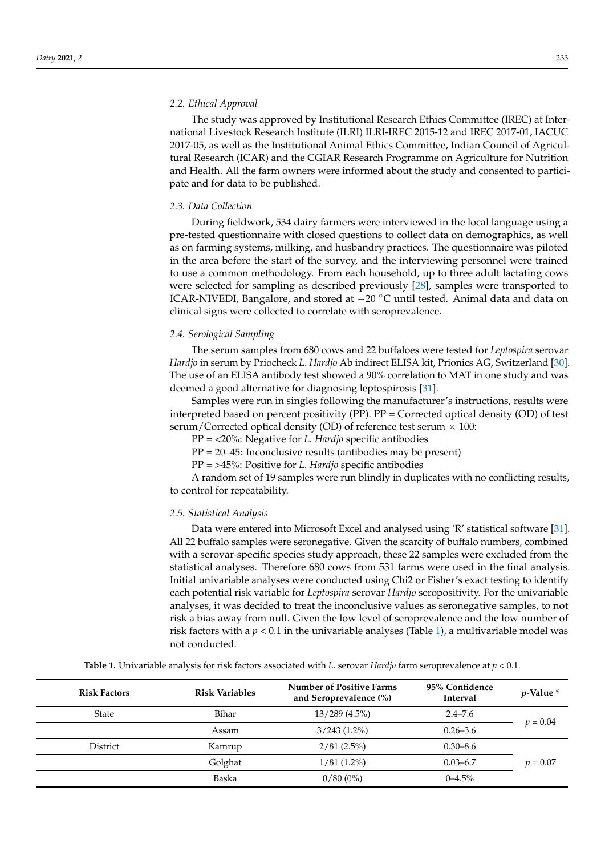#### *2.2. Ethical Approval*

The study was approved by Institutional Research Ethics Committee (IREC) at International Livestock Research Institute (ILRI) ILRI-IREC 2015-12 and IREC 2017-01, IACUC 2017-05, as well as the Institutional Animal Ethics Committee, Indian Council of Agricultural Research (ICAR) and the CGIAR Research Programme on Agriculture for Nutrition and Health. All the farm owners were informed about the study and consented to participate and for data to be published.

#### *2.3. Data Collection*

During fieldwork, 534 dairy farmers were interviewed in the local language using a pre-tested questionnaire with closed questions to collect data on demographics, as well as on farming systems, milking, and husbandry practices. The questionnaire was piloted in the area before the start of the survey, and the interviewing personnel were trained to use a common methodology. From each household, up to three adult lactating cows were selected for sampling as described previously [\[28\]](#page-9-10), samples were transported to ICAR-NIVEDI, Bangalore, and stored at −20 ◦C until tested. Animal data and data on clinical signs were collected to correlate with seroprevalence.

#### *2.4. Serological Sampling*

The serum samples from 680 cows and 22 buffaloes were tested for *Leptospira* serovar *Hardjo* in serum by Priocheck *L*. *Hardjo* Ab indirect ELISA kit, Prionics AG, Switzerland [\[30\]](#page-9-12). The use of an ELISA antibody test showed a 90% correlation to MAT in one study and was deemed a good alternative for diagnosing leptospirosis [\[31\]](#page-9-13).

Samples were run in singles following the manufacturer's instructions, results were interpreted based on percent positivity (PP). PP = Corrected optical density (OD) of test serum/Corrected optical density (OD) of reference test serum  $\times$  100:

PP = <20%: Negative for *L. Hardjo* specific antibodies

 $PP = 20-45$ : Inconclusive results (antibodies may be present)

PP = >45%: Positive for *L. Hardjo* specific antibodies

A random set of 19 samples were run blindly in duplicates with no conflicting results, to control for repeatability.

#### *2.5. Statistical Analysis*

Data were entered into Microsoft Excel and analysed using 'R' statistical software [\[31\]](#page-9-13). All 22 buffalo samples were seronegative. Given the scarcity of buffalo numbers, combined with a serovar-specific species study approach, these 22 samples were excluded from the statistical analyses. Therefore 680 cows from 531 farms were used in the final analysis. Initial univariable analyses were conducted using Chi2 or Fisher's exact testing to identify each potential risk variable for *Leptospira* serovar *Hardjo* seropositivity. For the univariable analyses, it was decided to treat the inconclusive values as seronegative samples, to not risk a bias away from null. Given the low level of seroprevalence and the low number of risk factors with a  $p < 0.1$  in the univariable analyses (Table [1\)](#page-3-0), a multivariable model was not conducted.

**Table 1.** Univariable analysis for risk factors associated with *L.* serovar *Hardjo* farm seroprevalence at *p* < 0.1.

| <b>Risk Factors</b> | <b>Risk Variables</b> | <b>Number of Positive Farms</b><br>and Seroprevalence $(\%)$ | 95% Confidence<br><b>Interval</b> | $p$ -Value $*$ |
|---------------------|-----------------------|--------------------------------------------------------------|-----------------------------------|----------------|
| State               | Bihar                 | $13/289$ (4.5%)                                              | $2.4 - 7.6$                       | $p = 0.04$     |
|                     | Assam                 | $3/243(1.2\%)$                                               | $0.26 - 3.6$                      |                |
| District            | Kamrup                | $2/81(2.5\%)$                                                | $0.30 - 8.6$                      |                |
|                     | Golghat               | $1/81(1.2\%)$                                                | $0.03 - 6.7$                      | $p = 0.07$     |
|                     | Baska                 | $0/80(0\%)$                                                  | $0 - 4.5\%$                       |                |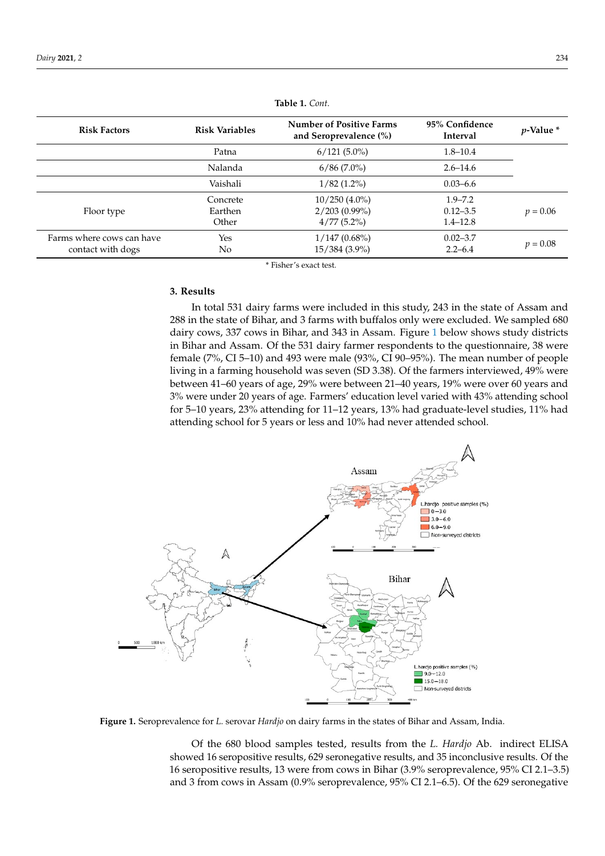<span id="page-3-0"></span>

| <b>Risk Factors</b>       | <b>Risk Variables</b> | <b>Number of Positive Farms</b><br>and Seroprevalence $(\%)$ | 95% Confidence<br>Interval | $p$ -Value $*$ |
|---------------------------|-----------------------|--------------------------------------------------------------|----------------------------|----------------|
|                           | Patna                 | $6/121(5.0\%)$                                               | $1.8 - 10.4$               |                |
|                           | Nalanda               | $6/86(7.0\%)$                                                | $2.6 - 14.6$               |                |
|                           | Vaishali              | $1/82$ (1.2%)                                                | $0.03 - 6.6$               |                |
|                           | Concrete              | $10/250(4.0\%)$                                              | $1.9 - 7.2$                |                |
| Floor type                | Earthen               | $2/203(0.99\%)$                                              | $0.12 - 3.5$               | $p = 0.06$     |
|                           | Other                 | $4/77(5.2\%)$                                                | $1.4 - 12.8$               |                |
| Farms where cows can have | Yes                   | $1/147(0.68\%)$                                              | $0.02 - 3.7$               |                |
| contact with dogs         | No                    | $15/384(3.9\%)$                                              | $2.2 - 6.4$                | $p = 0.08$     |

**Table 1.** *Cont.*

\* Fisher's exact test.

## **3. Results**

In total 531 dairy farms were included in this study, 243 in the state of Assam and 288 in the state of Bihar, and 3 farms with buffalos only were excluded. We sampled 680 dairy cows, 337 cows in Bihar, and 343 in Assam. Figure [1](#page-3-1) below shows study districts in Bihar and Assam. Of the 531 dairy farmer respondents to the questionnaire, 38 were female (7%, CI 5–10) and 493 were male (93%, CI 90–95%). The mean number of people living in a farming household was seven (SD 3.38). Of the farmers interviewed, 49% were between 41–60 years of age, 29% were between 21–40 years, 19% were over 60 years and 3% were under 20 years of age. Farmers' education level varied with 43% attending school for 5–10 years, 23% attending for 11–12 years, 13% had graduate-level studies, 11% had attending school for 5 years or less and 10% had never attended school.

<span id="page-3-1"></span>

**Figure 1.** Seroprevalence for *L.* serovar *Hardjo* on dairy farms in the states of Bihar and Assam, India.

showed 16 seropositive results, 629 seronegative results, and 35 inconclusive results. Of the *3.1. Risk Factors Associated with Farm Seroprevalence*  16 seropositive results, 13 were from cows in Bihar (3.9% seroprevalence, 95% CI 2.1–3.5) and 3 from cows in Assam (0.9% seroprevalence, 95% CI 2.1–6.5). Of the 629 seronegative Of the 680 blood samples tested, results from the *L. Hardjo* Ab. indirect ELISA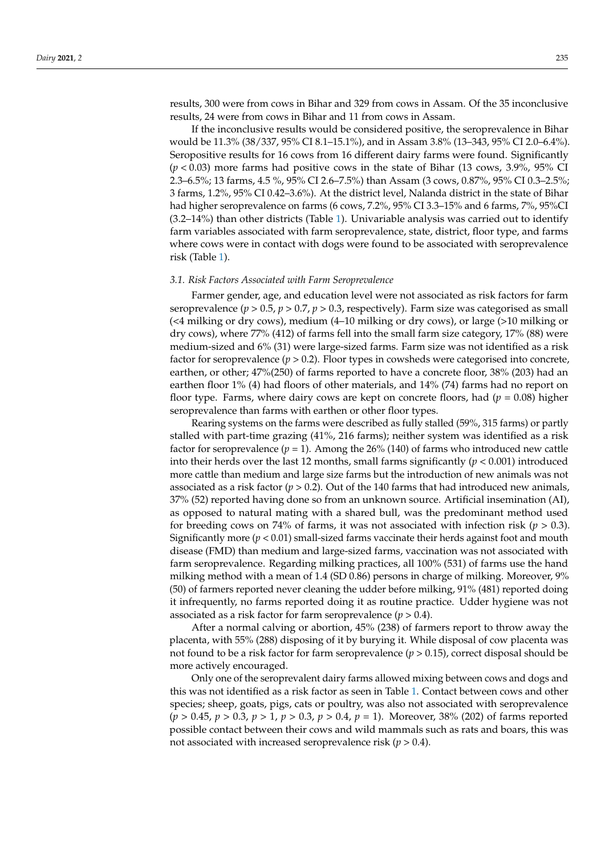results, 300 were from cows in Bihar and 329 from cows in Assam. Of the 35 inconclusive results, 24 were from cows in Bihar and 11 from cows in Assam.

If the inconclusive results would be considered positive, the seroprevalence in Bihar would be 11.3% (38/337, 95% CI 8.1–15.1%), and in Assam 3.8% (13–343, 95% CI 2.0–6.4%). Seropositive results for 16 cows from 16 different dairy farms were found. Significantly  $(p < 0.03)$  more farms had positive cows in the state of Bihar  $(13 \text{ cows}, 3.9\%, 95\% \text{ CI})$ 2.3–6.5%; 13 farms, 4.5 %, 95% CI 2.6–7.5%) than Assam (3 cows, 0.87%, 95% CI 0.3–2.5%; 3 farms, 1.2%, 95% CI 0.42–3.6%). At the district level, Nalanda district in the state of Bihar had higher seroprevalence on farms (6 cows, 7.2%, 95% CI 3.3–15% and 6 farms, 7%, 95%CI (3.2–14%) than other districts (Table [1\)](#page-3-0). Univariable analysis was carried out to identify farm variables associated with farm seroprevalence, state, district, floor type, and farms where cows were in contact with dogs were found to be associated with seroprevalence risk (Table [1\)](#page-3-0).

#### *3.1. Risk Factors Associated with Farm Seroprevalence*

Farmer gender, age, and education level were not associated as risk factors for farm seroprevalence ( $p > 0.5$ ,  $p > 0.7$ ,  $p > 0.3$ , respectively). Farm size was categorised as small (<4 milking or dry cows), medium (4–10 milking or dry cows), or large (>10 milking or dry cows), where 77% (412) of farms fell into the small farm size category, 17% (88) were medium-sized and 6% (31) were large-sized farms. Farm size was not identified as a risk factor for seroprevalence ( $p > 0.2$ ). Floor types in cowsheds were categorised into concrete, earthen, or other; 47%(250) of farms reported to have a concrete floor, 38% (203) had an earthen floor 1% (4) had floors of other materials, and 14% (74) farms had no report on floor type. Farms, where dairy cows are kept on concrete floors, had  $(p = 0.08)$  higher seroprevalence than farms with earthen or other floor types.

Rearing systems on the farms were described as fully stalled (59%, 315 farms) or partly stalled with part-time grazing (41%, 216 farms); neither system was identified as a risk factor for seroprevalence  $(p = 1)$ . Among the 26% (140) of farms who introduced new cattle into their herds over the last 12 months, small farms significantly  $(p < 0.001)$  introduced more cattle than medium and large size farms but the introduction of new animals was not associated as a risk factor  $(p > 0.2)$ . Out of the 140 farms that had introduced new animals, 37% (52) reported having done so from an unknown source. Artificial insemination (AI), as opposed to natural mating with a shared bull, was the predominant method used for breeding cows on 74% of farms, it was not associated with infection risk  $(p > 0.3)$ . Significantly more ( $p < 0.01$ ) small-sized farms vaccinate their herds against foot and mouth disease (FMD) than medium and large-sized farms, vaccination was not associated with farm seroprevalence. Regarding milking practices, all 100% (531) of farms use the hand milking method with a mean of 1.4 (SD 0.86) persons in charge of milking. Moreover, 9% (50) of farmers reported never cleaning the udder before milking, 91% (481) reported doing it infrequently, no farms reported doing it as routine practice. Udder hygiene was not associated as a risk factor for farm seroprevalence (*p* > 0.4).

After a normal calving or abortion, 45% (238) of farmers report to throw away the placenta, with 55% (288) disposing of it by burying it. While disposal of cow placenta was not found to be a risk factor for farm seroprevalence (*p* > 0.15), correct disposal should be more actively encouraged.

Only one of the seroprevalent dairy farms allowed mixing between cows and dogs and this was not identified as a risk factor as seen in Table [1.](#page-3-0) Contact between cows and other species; sheep, goats, pigs, cats or poultry, was also not associated with seroprevalence (*p* > 0.45, *p* > 0.3, *p* > 1, *p* > 0.3, *p* > 0.4, *p* = 1). Moreover, 38% (202) of farms reported possible contact between their cows and wild mammals such as rats and boars, this was not associated with increased seroprevalence risk (*p* > 0.4).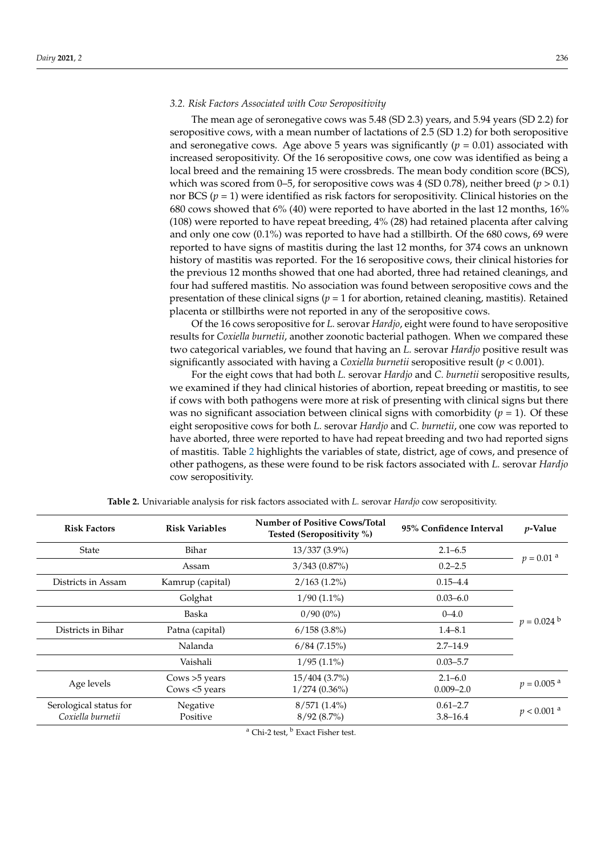### *3.2. Risk Factors Associated with Cow Seropositivity*

The mean age of seronegative cows was 5.48 (SD 2.3) years, and 5.94 years (SD 2.2) for seropositive cows, with a mean number of lactations of 2.5 (SD 1.2) for both seropositive and seronegative cows. Age above 5 years was significantly ( $p = 0.01$ ) associated with increased seropositivity. Of the 16 seropositive cows, one cow was identified as being a local breed and the remaining 15 were crossbreds. The mean body condition score (BCS), which was scored from  $0-5$ , for seropositive cows was 4 (SD 0.78), neither breed ( $p > 0.1$ ) nor BCS  $(p = 1)$  were identified as risk factors for seropositivity. Clinical histories on the 680 cows showed that 6% (40) were reported to have aborted in the last 12 months, 16% (108) were reported to have repeat breeding, 4% (28) had retained placenta after calving and only one cow (0.1%) was reported to have had a stillbirth. Of the 680 cows, 69 were reported to have signs of mastitis during the last 12 months, for 374 cows an unknown history of mastitis was reported. For the 16 seropositive cows, their clinical histories for the previous 12 months showed that one had aborted, three had retained cleanings, and four had suffered mastitis. No association was found between seropositive cows and the presentation of these clinical signs  $(p = 1$  for abortion, retained cleaning, mastitis). Retained placenta or stillbirths were not reported in any of the seropositive cows.

Of the 16 cows seropositive for *L.* serovar *Hardjo*, eight were found to have seropositive results for *Coxiella burnetii*, another zoonotic bacterial pathogen. When we compared these two categorical variables, we found that having an *L.* serovar *Hardjo* positive result was significantly associated with having a *Coxiella burnetii* seropositive result (*p* < 0.001).

For the eight cows that had both *L.* serovar *Hardjo* and *C. burnetii* seropositive results, we examined if they had clinical histories of abortion, repeat breeding or mastitis, to see if cows with both pathogens were more at risk of presenting with clinical signs but there was no significant association between clinical signs with comorbidity  $(p = 1)$ . Of these eight seropositive cows for both *L.* serovar *Hardjo* and *C. burnetii*, one cow was reported to have aborted, three were reported to have had repeat breeding and two had reported signs of mastitis. Table [2](#page-5-0) highlights the variables of state, district, age of cows, and presence of other pathogens, as these were found to be risk factors associated with *L.* serovar *Hardjo* cow seropositivity.

<span id="page-5-0"></span>

| <b>Risk Factors</b>                         | <b>Risk Variables</b>            | <b>Number of Positive Cows/Total</b><br>Tested (Seropositivity %) | 95% Confidence Interval      | $p$ -Value               |
|---------------------------------------------|----------------------------------|-------------------------------------------------------------------|------------------------------|--------------------------|
| <b>State</b>                                | Bihar                            | $13/337(3.9\%)$                                                   | $2.1 - 6.5$                  | $p = 0.01$ <sup>a</sup>  |
|                                             | Assam                            | 3/343(0.87%)                                                      | $0.2 - 2.5$                  |                          |
| Districts in Assam                          | Kamrup (capital)                 | $2/163(1.2\%)$                                                    | $0.15 - 4.4$                 | $p = 0.024$              |
|                                             | Golghat                          | $1/90(1.1\%)$                                                     | $0.03 - 6.0$                 |                          |
|                                             | Baska                            | $0/90(0\%)$                                                       | $0 - 4.0$                    |                          |
| Districts in Bihar                          | Patna (capital)                  | $6/158(3.8\%)$                                                    | $1.4 - 8.1$                  |                          |
|                                             | Nalanda                          | $6/84$ (7.15%)                                                    | $2.7 - 14.9$                 |                          |
|                                             | Vaishali                         | $1/95(1.1\%)$                                                     | $0.03 - 5.7$                 |                          |
| Age levels                                  | Cows $>5$ years<br>Cows <5 years | $15/404(3.7\%)$<br>$1/274(0.36\%)$                                | $2.1 - 6.0$<br>$0.009 - 2.0$ | $p = 0.005$ <sup>a</sup> |
| Serological status for<br>Coxiella burnetii | Negative<br>Positive             | $8/571(1.4\%)$<br>8/92(8.7%)                                      | $0.61 - 2.7$<br>$3.8 - 16.4$ | $p < 0.001$ <sup>a</sup> |

**Table 2.** Univariable analysis for risk factors associated with *L.* serovar *Hardjo* cow seropositivity.

<sup>a</sup> Chi-2 test, <sup>b</sup> Exact Fisher test.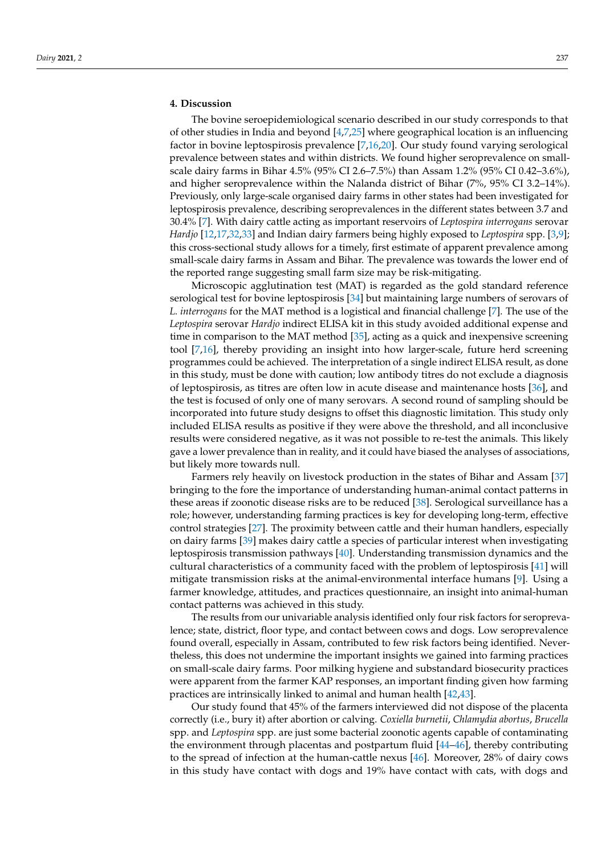# **4. Discussion**

The bovine seroepidemiological scenario described in our study corresponds to that of other studies in India and beyond [\[4,](#page-8-3)[7,](#page-8-6)[25\]](#page-9-7) where geographical location is an influencing factor in bovine leptospirosis prevalence [\[7,](#page-8-6)[16,](#page-8-16)[20\]](#page-9-2). Our study found varying serological prevalence between states and within districts. We found higher seroprevalence on smallscale dairy farms in Bihar 4.5% (95% CI 2.6–7.5%) than Assam 1.2% (95% CI 0.42–3.6%), and higher seroprevalence within the Nalanda district of Bihar (7%, 95% CI 3.2–14%). Previously, only large-scale organised dairy farms in other states had been investigated for leptospirosis prevalence, describing seroprevalences in the different states between 3.7 and 30.4% [\[7\]](#page-8-6). With dairy cattle acting as important reservoirs of *Leptospira interrogans* serovar *Hardjo* [\[12,](#page-8-11)[17,](#page-8-15)[32,](#page-9-14)[33\]](#page-9-15) and Indian dairy farmers being highly exposed to *Leptospira* spp. [\[3](#page-8-2)[,9\]](#page-8-8); this cross-sectional study allows for a timely, first estimate of apparent prevalence among small-scale dairy farms in Assam and Bihar. The prevalence was towards the lower end of the reported range suggesting small farm size may be risk-mitigating.

Microscopic agglutination test (MAT) is regarded as the gold standard reference serological test for bovine leptospirosis [\[34\]](#page-9-16) but maintaining large numbers of serovars of *L. interrogans* for the MAT method is a logistical and financial challenge [\[7\]](#page-8-6). The use of the *Leptospira* serovar *Hardjo* indirect ELISA kit in this study avoided additional expense and time in comparison to the MAT method [\[35\]](#page-9-17), acting as a quick and inexpensive screening tool [\[7](#page-8-6)[,16\]](#page-8-16), thereby providing an insight into how larger-scale, future herd screening programmes could be achieved. The interpretation of a single indirect ELISA result, as done in this study, must be done with caution; low antibody titres do not exclude a diagnosis of leptospirosis, as titres are often low in acute disease and maintenance hosts [\[36\]](#page-9-18), and the test is focused of only one of many serovars. A second round of sampling should be incorporated into future study designs to offset this diagnostic limitation. This study only included ELISA results as positive if they were above the threshold, and all inconclusive results were considered negative, as it was not possible to re-test the animals. This likely gave a lower prevalence than in reality, and it could have biased the analyses of associations, but likely more towards null.

Farmers rely heavily on livestock production in the states of Bihar and Assam [\[37\]](#page-9-19) bringing to the fore the importance of understanding human-animal contact patterns in these areas if zoonotic disease risks are to be reduced [\[38\]](#page-9-20). Serological surveillance has a role; however, understanding farming practices is key for developing long-term, effective control strategies [\[27\]](#page-9-9). The proximity between cattle and their human handlers, especially on dairy farms [\[39\]](#page-9-21) makes dairy cattle a species of particular interest when investigating leptospirosis transmission pathways [\[40\]](#page-9-22). Understanding transmission dynamics and the cultural characteristics of a community faced with the problem of leptospirosis [\[41\]](#page-9-23) will mitigate transmission risks at the animal-environmental interface humans [\[9\]](#page-8-8). Using a farmer knowledge, attitudes, and practices questionnaire, an insight into animal-human contact patterns was achieved in this study.

The results from our univariable analysis identified only four risk factors for seroprevalence; state, district, floor type, and contact between cows and dogs. Low seroprevalence found overall, especially in Assam, contributed to few risk factors being identified. Nevertheless, this does not undermine the important insights we gained into farming practices on small-scale dairy farms. Poor milking hygiene and substandard biosecurity practices were apparent from the farmer KAP responses, an important finding given how farming practices are intrinsically linked to animal and human health [\[42](#page-9-24)[,43\]](#page-10-0).

Our study found that 45% of the farmers interviewed did not dispose of the placenta correctly (i.e., bury it) after abortion or calving. *Coxiella burnetii*, *Chlamydia abortus*, *Brucella* spp. and *Leptospira* spp. are just some bacterial zoonotic agents capable of contaminating the environment through placentas and postpartum fluid [\[44–](#page-10-1)[46\]](#page-10-2), thereby contributing to the spread of infection at the human-cattle nexus [\[46\]](#page-10-2). Moreover, 28% of dairy cows in this study have contact with dogs and 19% have contact with cats, with dogs and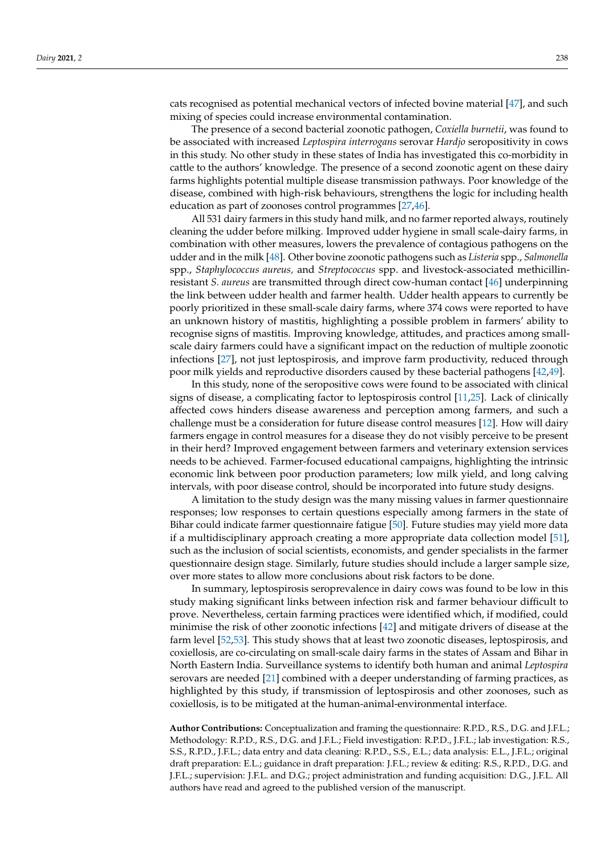cats recognised as potential mechanical vectors of infected bovine material [\[47\]](#page-10-3), and such mixing of species could increase environmental contamination.

The presence of a second bacterial zoonotic pathogen, *Coxiella burnetii*, was found to be associated with increased *Leptospira interrogans* serovar *Hardjo* seropositivity in cows in this study. No other study in these states of India has investigated this co-morbidity in cattle to the authors' knowledge. The presence of a second zoonotic agent on these dairy farms highlights potential multiple disease transmission pathways. Poor knowledge of the disease, combined with high-risk behaviours, strengthens the logic for including health education as part of zoonoses control programmes [\[27](#page-9-9)[,46\]](#page-10-2).

All 531 dairy farmers in this study hand milk, and no farmer reported always, routinely cleaning the udder before milking. Improved udder hygiene in small scale-dairy farms, in combination with other measures, lowers the prevalence of contagious pathogens on the udder and in the milk [\[48\]](#page-10-4). Other bovine zoonotic pathogens such as *Listeria* spp., *Salmonella* spp., *Staphylococcus aureus,* and *Streptococcus* spp. and livestock-associated methicillinresistant *S. aureus* are transmitted through direct cow-human contact [\[46\]](#page-10-2) underpinning the link between udder health and farmer health. Udder health appears to currently be poorly prioritized in these small-scale dairy farms, where 374 cows were reported to have an unknown history of mastitis, highlighting a possible problem in farmers' ability to recognise signs of mastitis. Improving knowledge, attitudes, and practices among smallscale dairy farmers could have a significant impact on the reduction of multiple zoonotic infections [\[27\]](#page-9-9), not just leptospirosis, and improve farm productivity, reduced through poor milk yields and reproductive disorders caused by these bacterial pathogens [\[42](#page-9-24)[,49\]](#page-10-5).

In this study, none of the seropositive cows were found to be associated with clinical signs of disease, a complicating factor to leptospirosis control [\[11,](#page-8-10)[25\]](#page-9-7). Lack of clinically affected cows hinders disease awareness and perception among farmers, and such a challenge must be a consideration for future disease control measures [\[12\]](#page-8-11). How will dairy farmers engage in control measures for a disease they do not visibly perceive to be present in their herd? Improved engagement between farmers and veterinary extension services needs to be achieved. Farmer-focused educational campaigns, highlighting the intrinsic economic link between poor production parameters; low milk yield, and long calving intervals, with poor disease control, should be incorporated into future study designs.

A limitation to the study design was the many missing values in farmer questionnaire responses; low responses to certain questions especially among farmers in the state of Bihar could indicate farmer questionnaire fatigue [\[50\]](#page-10-6). Future studies may yield more data if a multidisciplinary approach creating a more appropriate data collection model [\[51\]](#page-10-7), such as the inclusion of social scientists, economists, and gender specialists in the farmer questionnaire design stage. Similarly, future studies should include a larger sample size, over more states to allow more conclusions about risk factors to be done.

In summary, leptospirosis seroprevalence in dairy cows was found to be low in this study making significant links between infection risk and farmer behaviour difficult to prove. Nevertheless, certain farming practices were identified which, if modified, could minimise the risk of other zoonotic infections [\[42\]](#page-9-24) and mitigate drivers of disease at the farm level [\[52](#page-10-8)[,53\]](#page-10-9). This study shows that at least two zoonotic diseases, leptospirosis, and coxiellosis, are co-circulating on small-scale dairy farms in the states of Assam and Bihar in North Eastern India. Surveillance systems to identify both human and animal *Leptospira* serovars are needed [\[21\]](#page-9-3) combined with a deeper understanding of farming practices, as highlighted by this study, if transmission of leptospirosis and other zoonoses, such as coxiellosis, is to be mitigated at the human-animal-environmental interface.

**Author Contributions:** Conceptualization and framing the questionnaire: R.P.D., R.S., D.G. and J.F.L.; Methodology: R.P.D., R.S., D.G. and J.F.L.; Field investigation: R.P.D., J.F.L.; lab investigation: R.S., S.S., R.P.D., J.F.L.; data entry and data cleaning: R.P.D., S.S., E.L.; data analysis: E.L., J.F.L.; original draft preparation: E.L.; guidance in draft preparation: J.F.L.; review & editing: R.S., R.P.D., D.G. and J.F.L.; supervision: J.F.L. and D.G.; project administration and funding acquisition: D.G., J.F.L. All authors have read and agreed to the published version of the manuscript.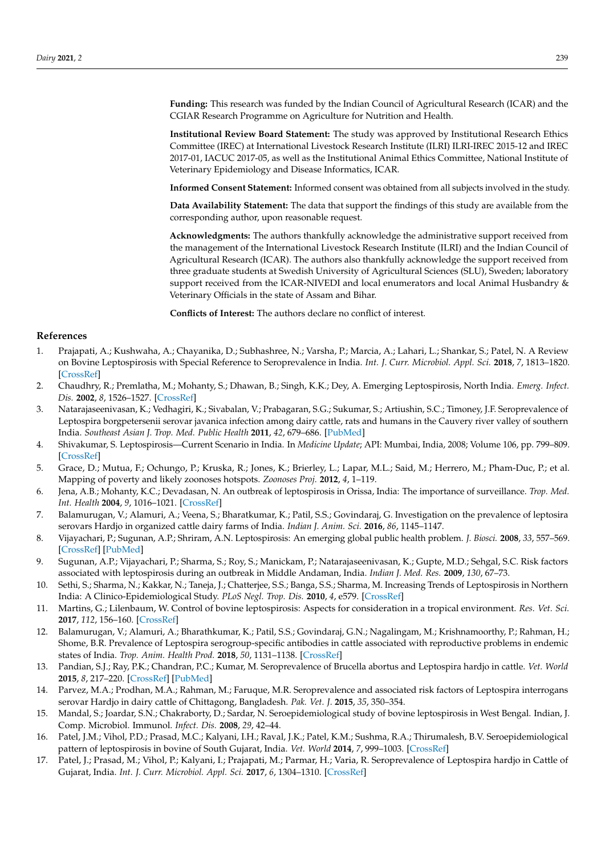**Funding:** This research was funded by the Indian Council of Agricultural Research (ICAR) and the CGIAR Research Programme on Agriculture for Nutrition and Health.

**Institutional Review Board Statement:** The study was approved by Institutional Research Ethics Committee (IREC) at International Livestock Research Institute (ILRI) ILRI-IREC 2015-12 and IREC 2017-01, IACUC 2017-05, as well as the Institutional Animal Ethics Committee, National Institute of Veterinary Epidemiology and Disease Informatics, ICAR.

**Informed Consent Statement:** Informed consent was obtained from all subjects involved in the study.

**Data Availability Statement:** The data that support the findings of this study are available from the corresponding author, upon reasonable request.

**Acknowledgments:** The authors thankfully acknowledge the administrative support received from the management of the International Livestock Research Institute (ILRI) and the Indian Council of Agricultural Research (ICAR). The authors also thankfully acknowledge the support received from three graduate students at Swedish University of Agricultural Sciences (SLU), Sweden; laboratory support received from the ICAR-NIVEDI and local enumerators and local Animal Husbandry & Veterinary Officials in the state of Assam and Bihar.

**Conflicts of Interest:** The authors declare no conflict of interest.

#### **References**

- <span id="page-8-0"></span>1. Prajapati, A.; Kushwaha, A.; Chayanika, D.; Subhashree, N.; Varsha, P.; Marcia, A.; Lahari, L.; Shankar, S.; Patel, N. A Review on Bovine Leptospirosis with Special Reference to Seroprevalence in India. *Int. J. Curr. Microbiol. Appl. Sci.* **2018**, *7*, 1813–1820. [\[CrossRef\]](http://doi.org/10.20546/ijcmas.2018.704.205)
- <span id="page-8-1"></span>2. Chaudhry, R.; Premlatha, M.; Mohanty, S.; Dhawan, B.; Singh, K.K.; Dey, A. Emerging Leptospirosis, North India. *Emerg. Infect. Dis.* **2002**, *8*, 1526–1527. [\[CrossRef\]](http://doi.org/10.3201/eid0812.020052)
- <span id="page-8-2"></span>3. Natarajaseenivasan, K.; Vedhagiri, K.; Sivabalan, V.; Prabagaran, S.G.; Sukumar, S.; Artiushin, S.C.; Timoney, J.F. Seroprevalence of Leptospira borgpetersenii serovar javanica infection among dairy cattle, rats and humans in the Cauvery river valley of southern India. *Southeast Asian J. Trop. Med. Public Health* **2011**, *42*, 679–686. [\[PubMed\]](http://www.ncbi.nlm.nih.gov/pubmed/21706947)
- <span id="page-8-3"></span>4. Shivakumar, S. Leptospirosis—Current Scenario in India. In *Medicine Update*; API: Mumbai, India, 2008; Volume 106, pp. 799–809. [\[CrossRef\]](http://doi.org/10.13140/2.1.4905.6968)
- <span id="page-8-4"></span>5. Grace, D.; Mutua, F.; Ochungo, P.; Kruska, R.; Jones, K.; Brierley, L.; Lapar, M.L.; Said, M.; Herrero, M.; Pham-Duc, P.; et al. Mapping of poverty and likely zoonoses hotspots. *Zoonoses Proj.* **2012**, *4*, 1–119.
- <span id="page-8-5"></span>6. Jena, A.B.; Mohanty, K.C.; Devadasan, N. An outbreak of leptospirosis in Orissa, India: The importance of surveillance. *Trop. Med. Int. Health* **2004**, *9*, 1016–1021. [\[CrossRef\]](http://doi.org/10.1111/j.1365-3156.2004.01293.x)
- <span id="page-8-6"></span>7. Balamurugan, V.; Alamuri, A.; Veena, S.; Bharatkumar, K.; Patil, S.S.; Govindaraj, G. Investigation on the prevalence of leptosira serovars Hardjo in organized cattle dairy farms of India. *Indian J. Anim. Sci.* **2016**, *86*, 1145–1147.
- <span id="page-8-7"></span>8. Vijayachari, P.; Sugunan, A.P.; Shriram, A.N. Leptospirosis: An emerging global public health problem. *J. Biosci.* **2008**, *33*, 557–569. [\[CrossRef\]](http://doi.org/10.1007/s12038-008-0074-z) [\[PubMed\]](http://www.ncbi.nlm.nih.gov/pubmed/19208981)
- <span id="page-8-8"></span>9. Sugunan, A.P.; Vijayachari, P.; Sharma, S.; Roy, S.; Manickam, P.; Natarajaseenivasan, K.; Gupte, M.D.; Sehgal, S.C. Risk factors associated with leptospirosis during an outbreak in Middle Andaman, India. *Indian J. Med. Res.* **2009**, *130*, 67–73.
- <span id="page-8-9"></span>10. Sethi, S.; Sharma, N.; Kakkar, N.; Taneja, J.; Chatterjee, S.S.; Banga, S.S.; Sharma, M. Increasing Trends of Leptospirosis in Northern India: A Clinico-Epidemiological Study. *PLoS Negl. Trop. Dis.* **2010**, *4*, e579. [\[CrossRef\]](http://doi.org/10.1371/journal.pntd.0000579)
- <span id="page-8-10"></span>11. Martins, G.; Lilenbaum, W. Control of bovine leptospirosis: Aspects for consideration in a tropical environment. *Res. Vet. Sci.* **2017**, *112*, 156–160. [\[CrossRef\]](http://doi.org/10.1016/j.rvsc.2017.03.021)
- <span id="page-8-11"></span>12. Balamurugan, V.; Alamuri, A.; Bharathkumar, K.; Patil, S.S.; Govindaraj, G.N.; Nagalingam, M.; Krishnamoorthy, P.; Rahman, H.; Shome, B.R. Prevalence of Leptospira serogroup-specific antibodies in cattle associated with reproductive problems in endemic states of India. *Trop. Anim. Health Prod.* **2018**, *50*, 1131–1138. [\[CrossRef\]](http://doi.org/10.1007/s11250-018-1540-8)
- <span id="page-8-12"></span>13. Pandian, S.J.; Ray, P.K.; Chandran, P.C.; Kumar, M. Seroprevalence of Brucella abortus and Leptospira hardjo in cattle. *Vet. World* **2015**, *8*, 217–220. [\[CrossRef\]](http://doi.org/10.14202/vetworld.2015.217-220) [\[PubMed\]](http://www.ncbi.nlm.nih.gov/pubmed/27047076)
- <span id="page-8-13"></span>14. Parvez, M.A.; Prodhan, M.A.; Rahman, M.; Faruque, M.R. Seroprevalence and associated risk factors of Leptospira interrogans serovar Hardjo in dairy cattle of Chittagong, Bangladesh. *Pak. Vet. J.* **2015**, *35*, 350–354.
- <span id="page-8-14"></span>15. Mandal, S.; Joardar, S.N.; Chakraborty, D.; Sardar, N. Seroepidemiological study of bovine leptospirosis in West Bengal. Indian, J. Comp. Microbiol. Immunol. *Infect. Dis.* **2008**, *29*, 42–44.
- <span id="page-8-16"></span>16. Patel, J.M.; Vihol, P.D.; Prasad, M.C.; Kalyani, I.H.; Raval, J.K.; Patel, K.M.; Sushma, R.A.; Thirumalesh, B.V. Seroepidemiological pattern of leptospirosis in bovine of South Gujarat, India. *Vet. World* **2014**, *7*, 999–1003. [\[CrossRef\]](http://doi.org/10.14202/vetworld.2014.999-1003)
- <span id="page-8-15"></span>17. Patel, J.; Prasad, M.; Vihol, P.; Kalyani, I.; Prajapati, M.; Parmar, H.; Varia, R. Seroprevalence of Leptospira hardjo in Cattle of Gujarat, India. *Int. J. Curr. Microbiol. Appl. Sci.* **2017**, *6*, 1304–1310. [\[CrossRef\]](http://doi.org/10.20546/ijcmas.2017.611.156)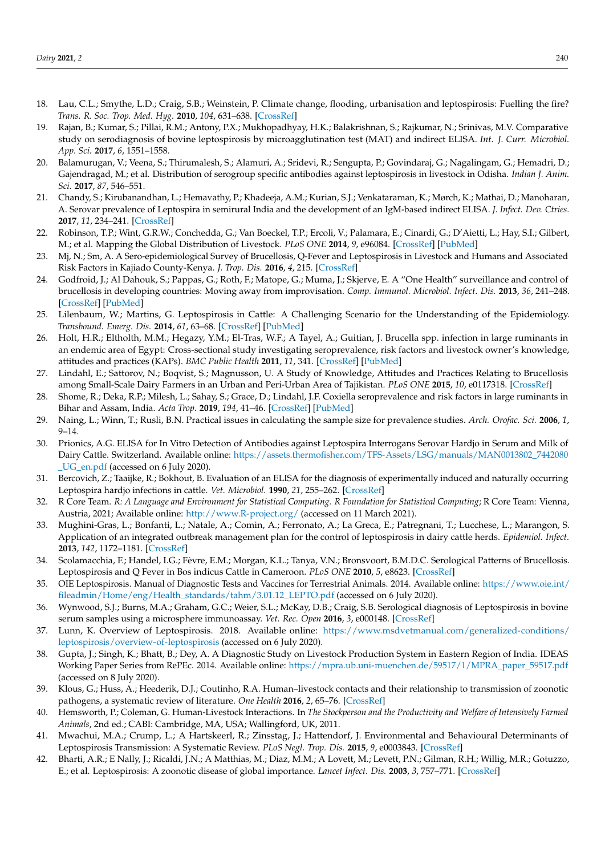- <span id="page-9-0"></span>18. Lau, C.L.; Smythe, L.D.; Craig, S.B.; Weinstein, P. Climate change, flooding, urbanisation and leptospirosis: Fuelling the fire? *Trans. R. Soc. Trop. Med. Hyg.* **2010**, *104*, 631–638. [\[CrossRef\]](http://doi.org/10.1016/j.trstmh.2010.07.002)
- <span id="page-9-1"></span>19. Rajan, B.; Kumar, S.; Pillai, R.M.; Antony, P.X.; Mukhopadhyay, H.K.; Balakrishnan, S.; Rajkumar, N.; Srinivas, M.V. Comparative study on serodiagnosis of bovine leptospirosis by microagglutination test (MAT) and indirect ELISA. *Int. J. Curr. Microbiol. App. Sci.* **2017**, *6*, 1551–1558.
- <span id="page-9-2"></span>20. Balamurugan, V.; Veena, S.; Thirumalesh, S.; Alamuri, A.; Sridevi, R.; Sengupta, P.; Govindaraj, G.; Nagalingam, G.; Hemadri, D.; Gajendragad, M.; et al. Distribution of serogroup specific antibodies against leptospirosis in livestock in Odisha. *Indian J. Anim. Sci.* **2017**, *87*, 546–551.
- <span id="page-9-3"></span>21. Chandy, S.; Kirubanandhan, L.; Hemavathy, P.; Khadeeja, A.M.; Kurian, S.J.; Venkataraman, K.; Mørch, K.; Mathai, D.; Manoharan, A. Serovar prevalence of Leptospira in semirural India and the development of an IgM-based indirect ELISA. *J. Infect. Dev. Ctries.* **2017**, *11*, 234–241. [\[CrossRef\]](http://doi.org/10.3855/jidc.8067)
- <span id="page-9-4"></span>22. Robinson, T.P.; Wint, G.R.W.; Conchedda, G.; Van Boeckel, T.P.; Ercoli, V.; Palamara, E.; Cinardi, G.; D'Aietti, L.; Hay, S.I.; Gilbert, M.; et al. Mapping the Global Distribution of Livestock. *PLoS ONE* **2014**, *9*, e96084. [\[CrossRef\]](http://doi.org/10.1371/journal.pone.0096084) [\[PubMed\]](http://www.ncbi.nlm.nih.gov/pubmed/24875496)
- <span id="page-9-5"></span>23. Mj, N.; Sm, A. A Sero-epidemiological Survey of Brucellosis, Q-Fever and Leptospirosis in Livestock and Humans and Associated Risk Factors in Kajiado County-Kenya. *J. Trop. Dis.* **2016**, *4*, 215. [\[CrossRef\]](http://doi.org/10.4172/2329-891X.1000215)
- <span id="page-9-6"></span>24. Godfroid, J.; Al Dahouk, S.; Pappas, G.; Roth, F.; Matope, G.; Muma, J.; Skjerve, E. A "One Health" surveillance and control of brucellosis in developing countries: Moving away from improvisation. *Comp. Immunol. Microbiol. Infect. Dis.* **2013**, *36*, 241–248. [\[CrossRef\]](http://doi.org/10.1016/j.cimid.2012.09.001) [\[PubMed\]](http://www.ncbi.nlm.nih.gov/pubmed/23044181)
- <span id="page-9-7"></span>25. Lilenbaum, W.; Martins, G. Leptospirosis in Cattle: A Challenging Scenario for the Understanding of the Epidemiology. *Transbound. Emerg. Dis.* **2014**, *61*, 63–68. [\[CrossRef\]](http://doi.org/10.1111/tbed.12233) [\[PubMed\]](http://www.ncbi.nlm.nih.gov/pubmed/25135465)
- <span id="page-9-8"></span>26. Holt, H.R.; Eltholth, M.M.; Hegazy, Y.M.; El-Tras, W.F.; A Tayel, A.; Guitian, J. Brucella spp. infection in large ruminants in an endemic area of Egypt: Cross-sectional study investigating seroprevalence, risk factors and livestock owner's knowledge, attitudes and practices (KAPs). *BMC Public Health* **2011**, *11*, 341. [\[CrossRef\]](http://doi.org/10.1186/1471-2458-11-341) [\[PubMed\]](http://www.ncbi.nlm.nih.gov/pubmed/21595871)
- <span id="page-9-9"></span>27. Lindahl, E.; Sattorov, N.; Boqvist, S.; Magnusson, U. A Study of Knowledge, Attitudes and Practices Relating to Brucellosis among Small-Scale Dairy Farmers in an Urban and Peri-Urban Area of Tajikistan. *PLoS ONE* **2015**, *10*, e0117318. [\[CrossRef\]](http://doi.org/10.1371/journal.pone.0117318)
- <span id="page-9-10"></span>28. Shome, R.; Deka, R.P.; Milesh, L.; Sahay, S.; Grace, D.; Lindahl, J.F. Coxiella seroprevalence and risk factors in large ruminants in Bihar and Assam, India. *Acta Trop.* **2019**, *194*, 41–46. [\[CrossRef\]](http://doi.org/10.1016/j.actatropica.2019.03.022) [\[PubMed\]](http://www.ncbi.nlm.nih.gov/pubmed/30902620)
- <span id="page-9-11"></span>29. Naing, L.; Winn, T.; Rusli, B.N. Practical issues in calculating the sample size for prevalence studies. *Arch. Orofac. Sci.* **2006**, *1*, 9–14.
- <span id="page-9-12"></span>30. Prionics, A.G. ELISA for In Vitro Detection of Antibodies against Leptospira Interrogans Serovar Hardjo in Serum and Milk of Dairy Cattle. Switzerland. Available online: [https://assets.thermofisher.com/TFS-Assets/LSG/manuals/MAN0013802\\_7442080](https://assets.thermofisher.com/TFS-Assets/LSG/manuals/MAN0013802_7442080_UG_en.pdf) [\\_UG\\_en.pdf](https://assets.thermofisher.com/TFS-Assets/LSG/manuals/MAN0013802_7442080_UG_en.pdf) (accessed on 6 July 2020).
- <span id="page-9-13"></span>31. Bercovich, Z.; Taaijke, R.; Bokhout, B. Evaluation of an ELISA for the diagnosis of experimentally induced and naturally occurring Leptospira hardjo infections in cattle. *Vet. Microbiol.* **1990**, *21*, 255–262. [\[CrossRef\]](http://doi.org/10.1016/0378-1135(90)90036-U)
- <span id="page-9-14"></span>32. R Core Team. *R: A Language and Environment for Statistical Computing. R Foundation for Statistical Computing*; R Core Team: Vienna, Austria, 2021; Available online: <http://www.R-project.org/> (accessed on 11 March 2021).
- <span id="page-9-15"></span>33. Mughini-Gras, L.; Bonfanti, L.; Natale, A.; Comin, A.; Ferronato, A.; La Greca, E.; Patregnani, T.; Lucchese, L.; Marangon, S. Application of an integrated outbreak management plan for the control of leptospirosis in dairy cattle herds. *Epidemiol. Infect.* **2013**, *142*, 1172–1181. [\[CrossRef\]](http://doi.org/10.1017/S0950268813001817)
- <span id="page-9-16"></span>34. Scolamacchia, F.; Handel, I.G.; Fèvre, E.M.; Morgan, K.L.; Tanya, V.N.; Bronsvoort, B.M.D.C. Serological Patterns of Brucellosis. Leptospirosis and Q Fever in Bos indicus Cattle in Cameroon. *PLoS ONE* **2010**, *5*, e8623. [\[CrossRef\]](http://doi.org/10.1371/journal.pone.0008623)
- <span id="page-9-17"></span>35. OIE Leptospirosis. Manual of Diagnostic Tests and Vaccines for Terrestrial Animals. 2014. Available online: [https://www.oie.int/](https://www.oie.int/fileadmin/Home/eng/Health_standards/tahm/3.01.12_LEPTO.pdf) [fileadmin/Home/eng/Health\\_standards/tahm/3.01.12\\_LEPTO.pdf](https://www.oie.int/fileadmin/Home/eng/Health_standards/tahm/3.01.12_LEPTO.pdf) (accessed on 6 July 2020).
- <span id="page-9-18"></span>36. Wynwood, S.J.; Burns, M.A.; Graham, G.C.; Weier, S.L.; McKay, D.B.; Craig, S.B. Serological diagnosis of Leptospirosis in bovine serum samples using a microsphere immunoassay. *Vet. Rec. Open* **2016**, *3*, e000148. [\[CrossRef\]](http://doi.org/10.1136/vetreco-2015-000148)
- <span id="page-9-19"></span>37. Lunn, K. Overview of Leptospirosis. 2018. Available online: [https://www.msdvetmanual.com/generalized-conditions/](https://www.msdvetmanual.com/generalized-conditions/leptospirosis/overview-of-leptospirosis) [leptospirosis/overview-of-leptospirosis](https://www.msdvetmanual.com/generalized-conditions/leptospirosis/overview-of-leptospirosis) (accessed on 6 July 2020).
- <span id="page-9-20"></span>38. Gupta, J.; Singh, K.; Bhatt, B.; Dey, A. A Diagnostic Study on Livestock Production System in Eastern Region of India. IDEAS Working Paper Series from RePEc. 2014. Available online: [https://mpra.ub.uni-muenchen.de/59517/1/MPRA\\_paper\\_59517.pdf](https://mpra.ub.uni-muenchen.de/59517/1/MPRA_paper_59517.pdf) (accessed on 8 July 2020).
- <span id="page-9-21"></span>39. Klous, G.; Huss, A.; Heederik, D.J.; Coutinho, R.A. Human–livestock contacts and their relationship to transmission of zoonotic pathogens, a systematic review of literature. *One Health* **2016**, *2*, 65–76. [\[CrossRef\]](http://doi.org/10.1016/j.onehlt.2016.03.001)
- <span id="page-9-22"></span>40. Hemsworth, P.; Coleman, G. Human-Livestock Interactions. In *The Stockperson and the Productivity and Welfare of Intensively Farmed Animals*, 2nd ed.; CABI: Cambridge, MA, USA; Wallingford, UK, 2011.
- <span id="page-9-23"></span>41. Mwachui, M.A.; Crump, L.; A Hartskeerl, R.; Zinsstag, J.; Hattendorf, J. Environmental and Behavioural Determinants of Leptospirosis Transmission: A Systematic Review. *PLoS Negl. Trop. Dis.* **2015**, *9*, e0003843. [\[CrossRef\]](http://doi.org/10.1371/journal.pntd.0003843)
- <span id="page-9-24"></span>42. Bharti, A.R.; E Nally, J.; Ricaldi, J.N.; A Matthias, M.; Diaz, M.M.; A Lovett, M.; Levett, P.N.; Gilman, R.H.; Willig, M.R.; Gotuzzo, E.; et al. Leptospirosis: A zoonotic disease of global importance. *Lancet Infect. Dis.* **2003**, *3*, 757–771. [\[CrossRef\]](http://doi.org/10.1016/S1473-3099(03)00830-2)